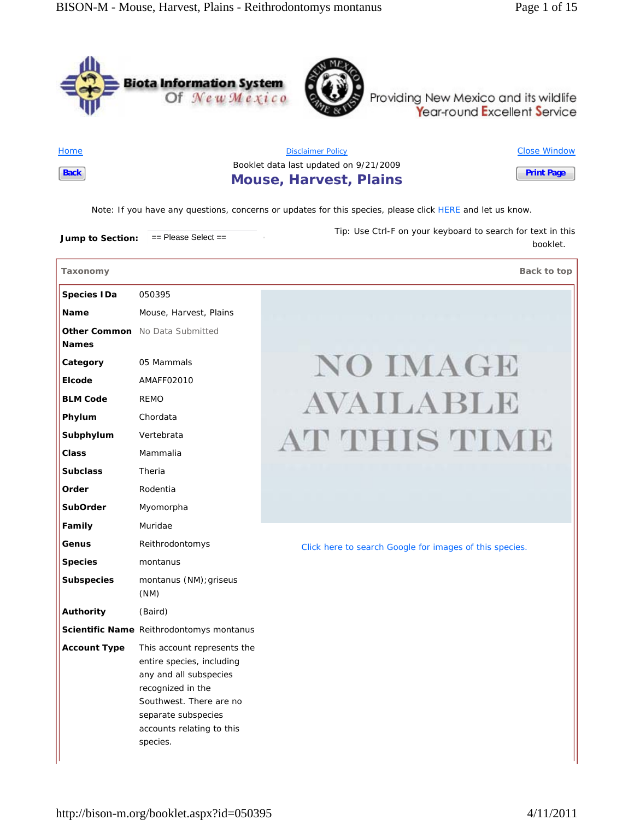



Providing New Mexico and its wildlife<br>Year-round Excellent Service

**Home Back**

Disclaimer Policy Booklet data last updated on 9/21/2009 **Mouse, Harvest, Plains** Close Window **Print Page**

*Note*: If you have any questions, concerns or updates for this species, please click HERE and let us know.

**Jump to Section:** == Please Select == *Tip:* Use Ctrl-F on your keyboard to search for text in this

**Taxonomy Back to top** 

booklet.

| <b>Species IDa</b>  | 050395                                                                                                                                                                                             |                                                         |
|---------------------|----------------------------------------------------------------------------------------------------------------------------------------------------------------------------------------------------|---------------------------------------------------------|
| <b>Name</b>         | Mouse, Harvest, Plains                                                                                                                                                                             |                                                         |
|                     | Other Common No Data Submitted                                                                                                                                                                     |                                                         |
| <b>Names</b>        |                                                                                                                                                                                                    |                                                         |
| Category            | 05 Mammals                                                                                                                                                                                         | <b>NO IMAGE</b>                                         |
| Elcode              | AMAFF02010                                                                                                                                                                                         |                                                         |
| <b>BLM Code</b>     | <b>REMO</b>                                                                                                                                                                                        | AVAILABLE                                               |
| Phylum              | Chordata                                                                                                                                                                                           |                                                         |
| Subphylum           | Vertebrata                                                                                                                                                                                         | AT THIS TIME                                            |
| <b>Class</b>        | Mammalia                                                                                                                                                                                           |                                                         |
| <b>Subclass</b>     | Theria                                                                                                                                                                                             |                                                         |
| Order               | Rodentia                                                                                                                                                                                           |                                                         |
| <b>SubOrder</b>     | Myomorpha                                                                                                                                                                                          |                                                         |
| Family              | Muridae                                                                                                                                                                                            |                                                         |
| Genus               | Reithrodontomys                                                                                                                                                                                    | Click here to search Google for images of this species. |
| <b>Species</b>      | montanus                                                                                                                                                                                           |                                                         |
| <b>Subspecies</b>   | montanus (NM); griseus<br>(NM)                                                                                                                                                                     |                                                         |
| Authority           | (Baird)                                                                                                                                                                                            |                                                         |
|                     | Scientific Name Reithrodontomys montanus                                                                                                                                                           |                                                         |
| <b>Account Type</b> | This account represents the<br>entire species, including<br>any and all subspecies<br>recognized in the<br>Southwest. There are no<br>separate subspecies<br>accounts relating to this<br>species. |                                                         |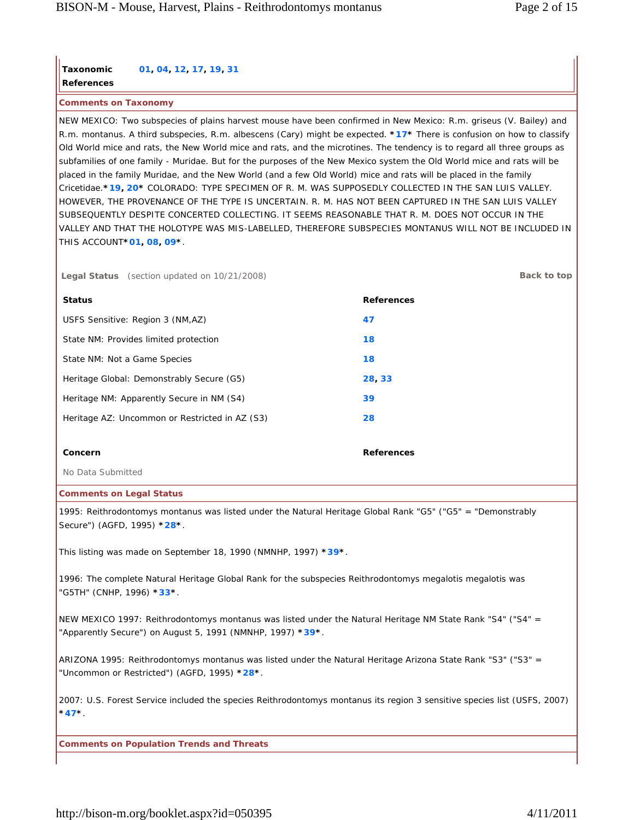# **Taxonomic References 01, 04, 12, 17, 19, 31**

**Comments on Taxonomy**

NEW MEXICO: Two subspecies of plains harvest mouse have been confirmed in New Mexico: R.m. griseus (V. Bailey) and R.m. montanus. A third subspecies, R.m. albescens (Cary) might be expected. **\*17\*** There is confusion on how to classify Old World mice and rats, the New World mice and rats, and the microtines. The tendency is to regard all three groups as subfamilies of one family - Muridae. But for the purposes of the New Mexico system the Old World mice and rats will be placed in the family Muridae, and the New World (and a few Old World) mice and rats will be placed in the family Cricetidae.**\*19, 20\*** COLORADO: TYPE SPECIMEN OF R. M. WAS SUPPOSEDLY COLLECTED IN THE SAN LUIS VALLEY. HOWEVER, THE PROVENANCE OF THE TYPE IS UNCERTAIN. R. M. HAS NOT BEEN CAPTURED IN THE SAN LUIS VALLEY SUBSEQUENTLY DESPITE CONCERTED COLLECTING. IT SEEMS REASONABLE THAT R. M. DOES NOT OCCUR IN THE VALLEY AND THAT THE HOLOTYPE WAS MIS-LABELLED, THEREFORE SUBSPECIES MONTANUS WILL NOT BE INCLUDED IN THIS ACCOUNT**\*01, 08, 09\***.

**Legal Status** (section updated on 10/21/2008) **Back to top**

| <b>Status</b>                                  | <b>References</b> |
|------------------------------------------------|-------------------|
| USFS Sensitive: Region 3 (NM,AZ)               | 47                |
| State NM: Provides limited protection          | 18                |
| State NM: Not a Game Species                   | 18                |
| Heritage Global: Demonstrably Secure (G5)      | 28, 33            |
| Heritage NM: Apparently Secure in NM (S4)      | 39                |
| Heritage AZ: Uncommon or Restricted in AZ (S3) | 28                |
|                                                |                   |
| Concern                                        | <b>References</b> |

No Data Submitted

#### **Comments on Legal Status**

1995: Reithrodontomys montanus was listed under the Natural Heritage Global Rank "G5" ("G5" = "Demonstrably Secure") (AGFD, 1995) **\*28\***.

This listing was made on September 18, 1990 (NMNHP, 1997) **\*39\***.

1996: The complete Natural Heritage Global Rank for the subspecies Reithrodontomys megalotis megalotis was "G5TH" (CNHP, 1996) **\*33\***.

NEW MEXICO 1997: Reithrodontomys montanus was listed under the Natural Heritage NM State Rank "S4" ("S4" = "Apparently Secure") on August 5, 1991 (NMNHP, 1997) **\*39\***.

ARIZONA 1995: Reithrodontomys montanus was listed under the Natural Heritage Arizona State Rank "S3" ("S3" = "Uncommon or Restricted") (AGFD, 1995) **\*28\***.

2007: U.S. Forest Service included the species Reithrodontomys montanus its region 3 sensitive species list (USFS, 2007) **\*47\***.

**Comments on Population Trends and Threats**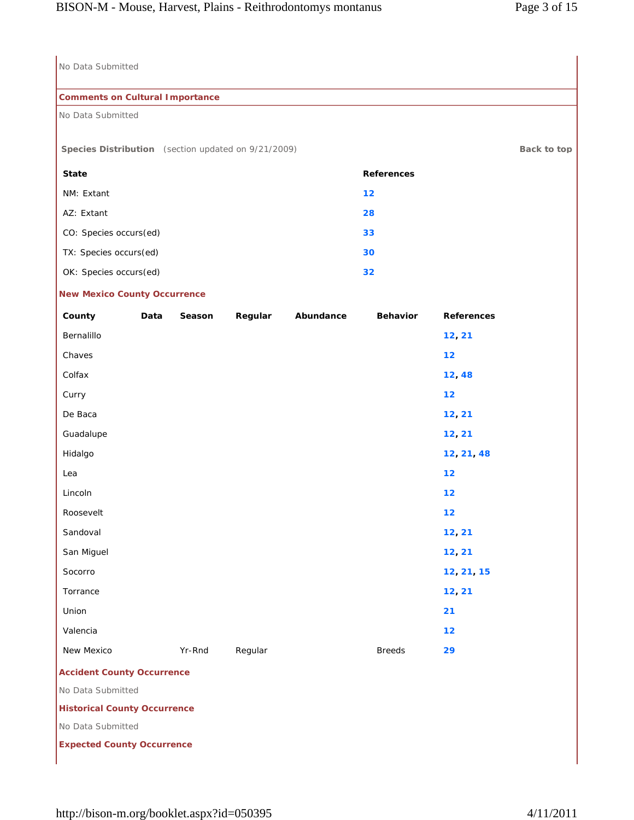| No Data Submitted                                   |      |        |         |           |                   |                   |             |
|-----------------------------------------------------|------|--------|---------|-----------|-------------------|-------------------|-------------|
| <b>Comments on Cultural Importance</b>              |      |        |         |           |                   |                   |             |
| No Data Submitted                                   |      |        |         |           |                   |                   |             |
|                                                     |      |        |         |           |                   |                   |             |
| Species Distribution (section updated on 9/21/2009) |      |        |         |           |                   |                   | Back to top |
| <b>State</b>                                        |      |        |         |           | <b>References</b> |                   |             |
| NM: Extant                                          |      |        |         |           | 12                |                   |             |
| AZ: Extant                                          |      |        |         |           | 28                |                   |             |
| CO: Species occurs(ed)                              |      |        |         |           | 33                |                   |             |
| TX: Species occurs(ed)                              |      |        |         |           | 30                |                   |             |
| OK: Species occurs(ed)                              |      |        |         |           | 32                |                   |             |
| <b>New Mexico County Occurrence</b>                 |      |        |         |           |                   |                   |             |
| County                                              | Data | Season | Regular | Abundance | <b>Behavior</b>   | <b>References</b> |             |
| Bernalillo                                          |      |        |         |           |                   | 12, 21            |             |
| Chaves                                              |      |        |         |           |                   | 12                |             |
| Colfax                                              |      |        |         |           |                   | 12,48             |             |
| Curry                                               |      |        |         |           |                   | 12                |             |
| De Baca                                             |      |        |         |           |                   | 12, 21            |             |
| Guadalupe                                           |      |        |         |           |                   | 12, 21            |             |
| Hidalgo                                             |      |        |         |           |                   | 12, 21, 48        |             |
| Lea                                                 |      |        |         |           |                   | 12                |             |
| Lincoln                                             |      |        |         |           |                   | 12                |             |
| Roosevelt                                           |      |        |         |           |                   | $12$              |             |
| Sandoval                                            |      |        |         |           |                   | 12, 21            |             |
| San Miguel                                          |      |        |         |           |                   | 12, 21            |             |
| Socorro                                             |      |        |         |           |                   | 12, 21, 15        |             |
| Torrance                                            |      |        |         |           |                   | 12, 21            |             |
| Union                                               |      |        |         |           |                   | 21                |             |
| Valencia                                            |      |        |         |           |                   | 12                |             |
| New Mexico                                          |      | Yr-Rnd | Regular |           | <b>Breeds</b>     | 29                |             |
| <b>Accident County Occurrence</b>                   |      |        |         |           |                   |                   |             |
| No Data Submitted                                   |      |        |         |           |                   |                   |             |
| <b>Historical County Occurrence</b>                 |      |        |         |           |                   |                   |             |
| No Data Submitted                                   |      |        |         |           |                   |                   |             |
| <b>Expected County Occurrence</b>                   |      |        |         |           |                   |                   |             |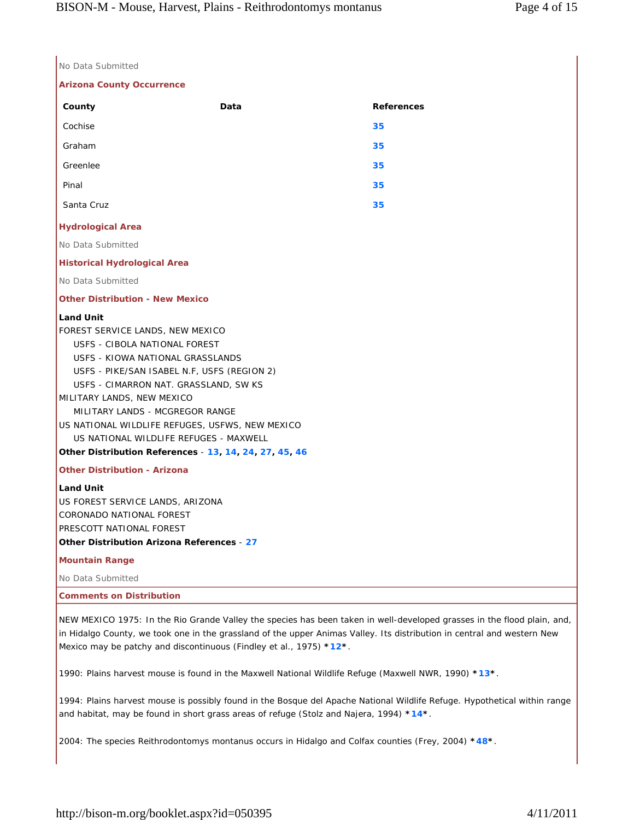| No Data Submitted                                                                                                                                                                                                                                                                                                                                                                                                                         |      |                   |
|-------------------------------------------------------------------------------------------------------------------------------------------------------------------------------------------------------------------------------------------------------------------------------------------------------------------------------------------------------------------------------------------------------------------------------------------|------|-------------------|
| <b>Arizona County Occurrence</b>                                                                                                                                                                                                                                                                                                                                                                                                          |      |                   |
| County                                                                                                                                                                                                                                                                                                                                                                                                                                    | Data | <b>References</b> |
| Cochise                                                                                                                                                                                                                                                                                                                                                                                                                                   |      | 35                |
| Graham                                                                                                                                                                                                                                                                                                                                                                                                                                    |      | 35                |
| Greenlee                                                                                                                                                                                                                                                                                                                                                                                                                                  |      | 35                |
| Pinal                                                                                                                                                                                                                                                                                                                                                                                                                                     |      | 35                |
| Santa Cruz                                                                                                                                                                                                                                                                                                                                                                                                                                |      | 35                |
| <b>Hydrological Area</b>                                                                                                                                                                                                                                                                                                                                                                                                                  |      |                   |
| No Data Submitted                                                                                                                                                                                                                                                                                                                                                                                                                         |      |                   |
| <b>Historical Hydrological Area</b>                                                                                                                                                                                                                                                                                                                                                                                                       |      |                   |
| No Data Submitted                                                                                                                                                                                                                                                                                                                                                                                                                         |      |                   |
| <b>Other Distribution - New Mexico</b>                                                                                                                                                                                                                                                                                                                                                                                                    |      |                   |
| <b>Land Unit</b><br>FOREST SERVICE LANDS, NEW MEXICO<br>USFS - CIBOLA NATIONAL FOREST<br>USFS - KIOWA NATIONAL GRASSLANDS<br>USFS - PIKE/SAN ISABEL N.F, USFS (REGION 2)<br>USFS - CIMARRON NAT. GRASSLAND, SW KS<br>MILITARY LANDS, NEW MEXICO<br>MILITARY LANDS - MCGREGOR RANGE<br>US NATIONAL WILDLIFE REFUGES, USFWS, NEW MEXICO<br>US NATIONAL WILDLIFE REFUGES - MAXWELL<br>Other Distribution References - 13, 14, 24, 27, 45, 46 |      |                   |
| <b>Other Distribution - Arizona</b>                                                                                                                                                                                                                                                                                                                                                                                                       |      |                   |
| <b>Land Unit</b><br>US FOREST SERVICE LANDS, ARIZONA<br>CORONADO NATIONAL FOREST<br>PRESCOTT NATIONAL FOREST<br>Other Distribution Arizona References - 27                                                                                                                                                                                                                                                                                |      |                   |
| <b>Mountain Range</b>                                                                                                                                                                                                                                                                                                                                                                                                                     |      |                   |
| No Data Submitted                                                                                                                                                                                                                                                                                                                                                                                                                         |      |                   |
| <b>Comments on Distribution</b>                                                                                                                                                                                                                                                                                                                                                                                                           |      |                   |
| NEW MEXICO 1975: In the Rio Grande Valley the species has been taken in well-developed grasses in the flor                                                                                                                                                                                                                                                                                                                                |      |                   |

od plain, and, in Hidalgo County, we took one in the grassland of the upper Animas Valley. Its distribution in central and western New Mexico may be patchy and discontinuous (Findley et al., 1975) **\*12\***.

1990: Plains harvest mouse is found in the Maxwell National Wildlife Refuge (Maxwell NWR, 1990) **\*13\***.

1994: Plains harvest mouse is possibly found in the Bosque del Apache National Wildlife Refuge. Hypothetical within range and habitat, may be found in short grass areas of refuge (Stolz and Najera, 1994) **\*14\***.

2004: The species Reithrodontomys montanus occurs in Hidalgo and Colfax counties (Frey, 2004) **\*48\***.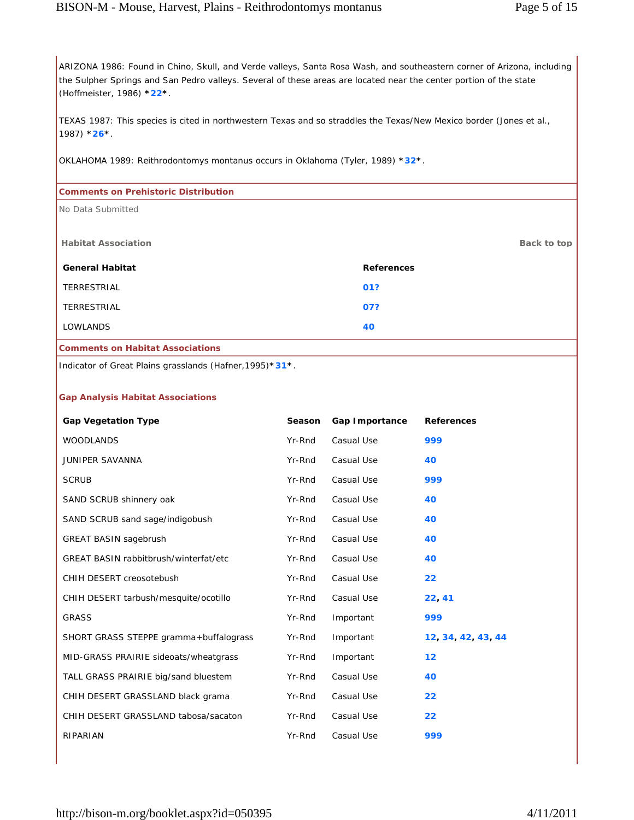ARIZONA 1986: Found in Chino, Skull, and Verde valleys, Santa Rosa Wash, and southeastern corner of Arizona, including the Sulpher Springs and San Pedro valleys. Several of these areas are located near the center portion of the state (Hoffmeister, 1986) **\*22\***.

TEXAS 1987: This species is cited in northwestern Texas and so straddles the Texas/New Mexico border (Jones et al., 1987) **\*26\***.

OKLAHOMA 1989: Reithrodontomys montanus occurs in Oklahoma (Tyler, 1989) **\*32\***.

| <b>Comments on Prehistoric Distribution</b> |                   |  |  |  |
|---------------------------------------------|-------------------|--|--|--|
| No Data Submitted                           |                   |  |  |  |
|                                             |                   |  |  |  |
| <b>Habitat Association</b>                  | Back to top       |  |  |  |
| <b>General Habitat</b>                      | <b>References</b> |  |  |  |
| TERRESTRIAL                                 | 01?               |  |  |  |
| <b>TERRESTRIAL</b>                          | 07?               |  |  |  |
| <b>LOWLANDS</b>                             | 40                |  |  |  |
| <b>Comments on Habitat Associations</b>     |                   |  |  |  |

Indicator of Great Plains grasslands (Hafner,1995)**\*31\***.

### **Gap Analysis Habitat Associations**

| <b>Gap Vegetation Type</b>                   | <b>Season</b> | Gap Importance | <b>References</b> |
|----------------------------------------------|---------------|----------------|-------------------|
| <b>WOODLANDS</b>                             | Yr-Rnd        | Casual Use     | 999               |
| <b>JUNIPER SAVANNA</b>                       | Yr-Rnd        | Casual Use     | 40                |
| <b>SCRUB</b>                                 | Yr-Rnd        | Casual Use     | 999               |
| SAND SCRUB shinnery oak                      | Yr-Rnd        | Casual Use     | 40                |
| SAND SCRUB sand sage/indigobush              | Yr-Rnd        | Casual Use     | 40                |
| <b>GREAT BASIN sagebrush</b>                 | Yr-Rnd        | Casual Use     | 40                |
| <b>GREAT BASIN rabbitbrush/winterfat/etc</b> | Yr-Rnd        | Casual Use     | 40                |
| CHIH DESERT creosotebush                     | Yr-Rnd        | Casual Use     | 22                |
| CHIH DESERT tarbush/mesquite/ocotillo        | Yr-Rnd        | Casual Use     | 22, 41            |
| <b>GRASS</b>                                 | Yr-Rnd        | Important      | 999               |
| SHORT GRASS STEPPE gramma+buffalograss       | Yr-Rnd        | Important      | 12 34 42 43 44    |
| MID-GRASS PRAIRIE sideoats/wheatgrass        | Yr-Rnd        | Important      | $12 \overline{ }$ |
| TALL GRASS PRAIRIE big/sand bluestem         | Yr-Rnd        | Casual Use     | 40                |
| CHIH DESERT GRASSLAND black grama            | Yr-Rnd        | Casual Use     | 22                |
| CHIH DESERT GRASSLAND tabosa/sacaton         | Yr-Rnd        | Casual Use     | 22                |
| RIPARIAN                                     | Yr-Rnd        | Casual Use     | 999               |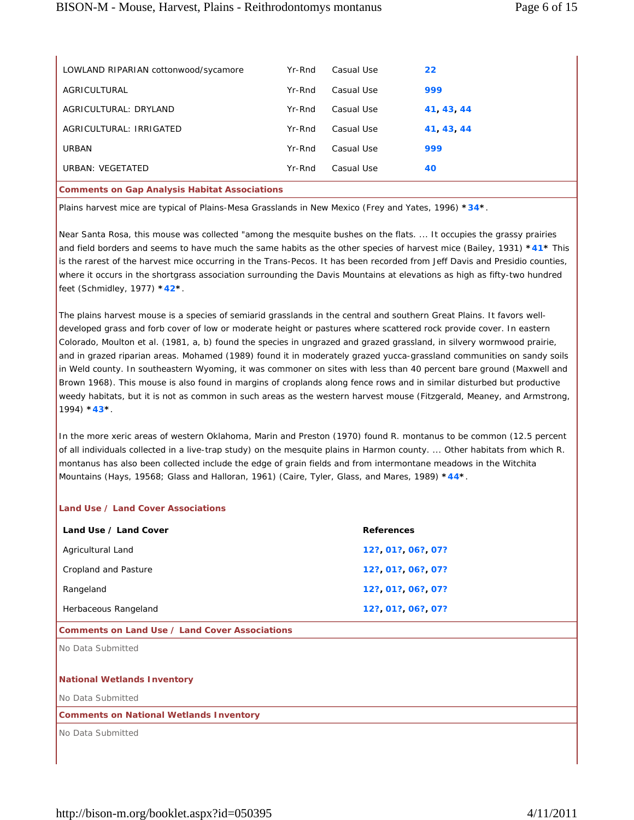| <b>Comments on Gap Analysis Habitat Associations</b> |        |            |          |
|------------------------------------------------------|--------|------------|----------|
| URBAN: VEGETATED                                     | Yr-Rnd | Casual Use | 40       |
| <b>URBAN</b>                                         | Yr-Rnd | Casual Use | 999      |
| AGRICULTURAL: IRRIGATED                              | Yr-Rnd | Casual Use | 41 43 44 |
| AGRICULTURAL: DRYLAND                                | Yr-Rnd | Casual Use | 41 43 44 |
| AGRICULTURAL                                         | Yr-Rnd | Casual Use | 999      |
| LOWLAND RIPARIAN cottonwood/sycamore                 | Yr-Rnd | Casual Use | 22       |
|                                                      |        |            |          |

Plains harvest mice are typical of Plains-Mesa Grasslands in New Mexico (Frey and Yates, 1996) **\*34\***.

Near Santa Rosa, this mouse was collected "among the mesquite bushes on the flats. ... It occupies the grassy prairies and field borders and seems to have much the same habits as the other species of harvest mice (Bailey, 1931) **\*41\*** This is the rarest of the harvest mice occurring in the Trans-Pecos. It has been recorded from Jeff Davis and Presidio counties, where it occurs in the shortgrass association surrounding the Davis Mountains at elevations as high as fifty-two hundred feet (Schmidley, 1977) **\*42\***.

The plains harvest mouse is a species of semiarid grasslands in the central and southern Great Plains. It favors welldeveloped grass and forb cover of low or moderate height or pastures where scattered rock provide cover. In eastern Colorado, Moulton et al. (1981, a, b) found the species in ungrazed and grazed grassland, in silvery wormwood prairie, and in grazed riparian areas. Mohamed (1989) found it in moderately grazed yucca-grassland communities on sandy soils in Weld county. In southeastern Wyoming, it was commoner on sites with less than 40 percent bare ground (Maxwell and Brown 1968). This mouse is also found in margins of croplands along fence rows and in similar disturbed but productive weedy habitats, but it is not as common in such areas as the western harvest mouse (Fitzgerald, Meaney, and Armstrong, 1994) **\*43\***.

In the more xeric areas of western Oklahoma, Marin and Preston (1970) found R. montanus to be common (12.5 percent of all individuals collected in a live-trap study) on the mesquite plains in Harmon county. ... Other habitats from which R. montanus has also been collected include the edge of grain fields and from intermontane meadows in the Witchita Mountains (Hays, 19568; Glass and Halloran, 1961) (Caire, Tyler, Glass, and Mares, 1989) **\*44\***.

### **Land Use / Land Cover Associations**

| Land Use / Land Cover | <b>References</b> |
|-----------------------|-------------------|
| Agricultural Land     | 12? 01? 06? 07?   |
| Cropland and Pasture  | 12? 01? 06? 07?   |
| Rangeland             | 12? 01? 06? 07?   |
| Herbaceous Rangeland  | 12? 01? 06? 07?   |

### **Comments on Land Use / Land Cover Associations**

No Data Submitted

### **National Wetlands Inventory**

No Data Submitted

### **Comments on National Wetlands Inventory**

No Data Submitted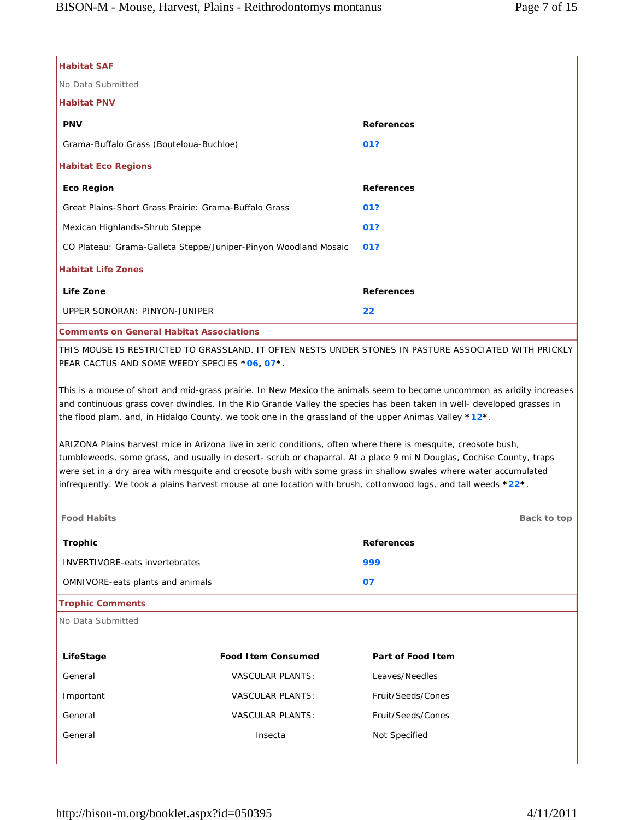| <b>Habitat SAF</b>                                                                                                                                                                                                                                                                                                                                                                                                                                                           |                   |  |  |
|------------------------------------------------------------------------------------------------------------------------------------------------------------------------------------------------------------------------------------------------------------------------------------------------------------------------------------------------------------------------------------------------------------------------------------------------------------------------------|-------------------|--|--|
| No Data Submitted                                                                                                                                                                                                                                                                                                                                                                                                                                                            |                   |  |  |
| <b>Habitat PNV</b>                                                                                                                                                                                                                                                                                                                                                                                                                                                           |                   |  |  |
| <b>PNV</b>                                                                                                                                                                                                                                                                                                                                                                                                                                                                   | <b>References</b> |  |  |
| Grama-Buffalo Grass (Bouteloua-Buchloe)                                                                                                                                                                                                                                                                                                                                                                                                                                      | 01?               |  |  |
| <b>Habitat Eco Regions</b>                                                                                                                                                                                                                                                                                                                                                                                                                                                   |                   |  |  |
| <b>Eco Region</b>                                                                                                                                                                                                                                                                                                                                                                                                                                                            | <b>References</b> |  |  |
| Great Plains-Short Grass Prairie: Grama-Buffalo Grass                                                                                                                                                                                                                                                                                                                                                                                                                        | 01?               |  |  |
| Mexican Highlands-Shrub Steppe                                                                                                                                                                                                                                                                                                                                                                                                                                               | 01?               |  |  |
| CO Plateau: Grama-Galleta Steppe/Juniper-Pinyon Woodland Mosaic                                                                                                                                                                                                                                                                                                                                                                                                              | 01?               |  |  |
| <b>Habitat Life Zones</b>                                                                                                                                                                                                                                                                                                                                                                                                                                                    |                   |  |  |
| Life Zone                                                                                                                                                                                                                                                                                                                                                                                                                                                                    | <b>References</b> |  |  |
| UPPER SONORAN: PINYON-JUNIPER                                                                                                                                                                                                                                                                                                                                                                                                                                                | 22                |  |  |
| <b>Comments on General Habitat Associations</b>                                                                                                                                                                                                                                                                                                                                                                                                                              |                   |  |  |
| THIS MOUSE IS RESTRICTED TO GRASSLAND. IT OFTEN NESTS UNDER STONES IN PASTURE ASSOCIATED WITH PRICKLY<br>PEAR CACTUS AND SOME WEEDY SPECIES *06, 07*.                                                                                                                                                                                                                                                                                                                        |                   |  |  |
| This is a mouse of short and mid-grass prairie. In New Mexico the animals seem to become uncommon as aridity increases<br>and continuous grass cover dwindles. In the Rio Grande Valley the species has been taken in well- developed grasses in<br>the flood plam, and, in Hidalgo County, we took one in the grassland of the upper Animas Valley *12*.                                                                                                                    |                   |  |  |
| ARIZONA Plains harvest mice in Arizona live in xeric conditions, often where there is mesquite, creosote bush,<br>tumbleweeds, some grass, and usually in desert- scrub or chaparral. At a place 9 mi N Douglas, Cochise County, traps<br>were set in a dry area with mesquite and creosote bush with some grass in shallow swales where water accumulated<br>infrequently. We took a plains harvest mouse at one location with brush, cottonwood logs, and tall weeds *22*. |                   |  |  |
| <b>Food Habits</b>                                                                                                                                                                                                                                                                                                                                                                                                                                                           | Back to top       |  |  |
| <b>Trophic</b>                                                                                                                                                                                                                                                                                                                                                                                                                                                               | <b>References</b> |  |  |
| <b>INVERTIVORE-eats invertebrates</b>                                                                                                                                                                                                                                                                                                                                                                                                                                        | 999               |  |  |
| OMNIVORE-eats plants and animals                                                                                                                                                                                                                                                                                                                                                                                                                                             | 07                |  |  |
| <b>Trophic Comments</b>                                                                                                                                                                                                                                                                                                                                                                                                                                                      |                   |  |  |
| No Data Submitted                                                                                                                                                                                                                                                                                                                                                                                                                                                            |                   |  |  |
|                                                                                                                                                                                                                                                                                                                                                                                                                                                                              |                   |  |  |

| LifeStage | <b>Food Item Consumed</b> | Part of Food I tem |
|-----------|---------------------------|--------------------|
| General   | <b>VASCULAR PLANTS:</b>   | Leaves/Needles     |
| Important | <b>VASCULAR PLANTS:</b>   | Fruit/Seeds/Cones  |
| General   | <b>VASCULAR PLANTS:</b>   | Fruit/Seeds/Cones  |
| General   | Insecta                   | Not Specified      |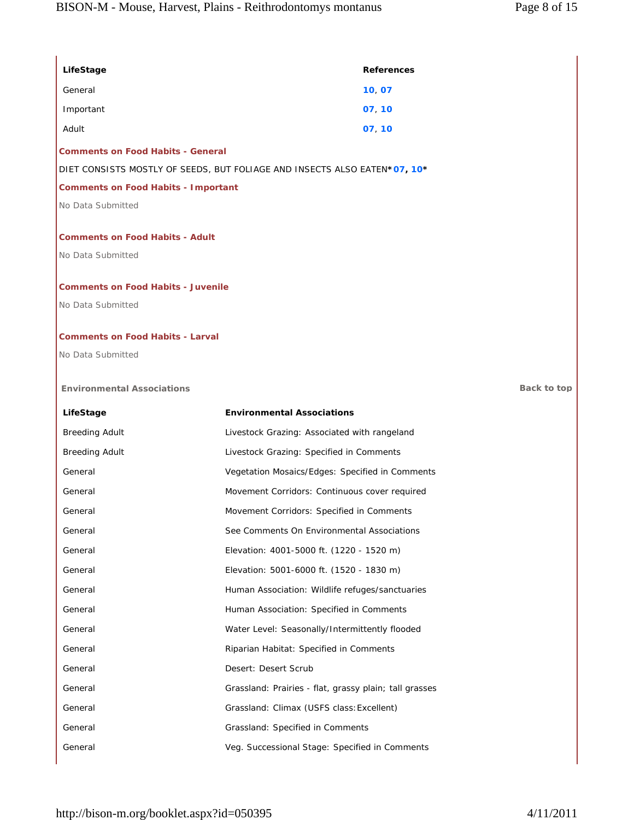| LifeStage                                  | <b>References</b>                                                         |             |
|--------------------------------------------|---------------------------------------------------------------------------|-------------|
| General                                    | 10, 07                                                                    |             |
| Important                                  | 07, 10                                                                    |             |
| Adult                                      | 07, 10                                                                    |             |
| <b>Comments on Food Habits - General</b>   |                                                                           |             |
|                                            | DIET CONSISTS MOSTLY OF SEEDS, BUT FOLIAGE AND INSECTS ALSO EATEN*07, 10* |             |
| <b>Comments on Food Habits - Important</b> |                                                                           |             |
| No Data Submitted                          |                                                                           |             |
| <b>Comments on Food Habits - Adult</b>     |                                                                           |             |
| No Data Submitted                          |                                                                           |             |
|                                            |                                                                           |             |
| <b>Comments on Food Habits - Juvenile</b>  |                                                                           |             |
| No Data Submitted                          |                                                                           |             |
| <b>Comments on Food Habits - Larval</b>    |                                                                           |             |
| No Data Submitted                          |                                                                           |             |
|                                            |                                                                           |             |
| <b>Environmental Associations</b>          |                                                                           | Back to top |
| LifeStage                                  | <b>Environmental Associations</b>                                         |             |
| <b>Breeding Adult</b>                      | Livestock Grazing: Associated with rangeland                              |             |
| <b>Breeding Adult</b>                      | Livestock Grazing: Specified in Comments                                  |             |
| General                                    | Vegetation Mosaics/Edges: Specified in Comments                           |             |
| General                                    | Movement Corridors: Continuous cover required                             |             |
| General                                    | Movement Corridors: Specified in Comments                                 |             |
| General                                    | See Comments On Environmental Associations                                |             |
| General                                    | Elevation: 4001-5000 ft. (1220 - 1520 m)                                  |             |
| General                                    | Elevation: 5001-6000 ft. (1520 - 1830 m)                                  |             |
| General                                    | Human Association: Wildlife refuges/sanctuaries                           |             |
| General                                    | Human Association: Specified in Comments                                  |             |
| General                                    | Water Level: Seasonally/Intermittently flooded                            |             |
| General                                    | Riparian Habitat: Specified in Comments                                   |             |
| General                                    | Desert: Desert Scrub                                                      |             |
| General                                    | Grassland: Prairies - flat, grassy plain; tall grasses                    |             |
| General                                    | Grassland: Climax (USFS class: Excellent)                                 |             |
| General                                    | Grassland: Specified in Comments                                          |             |
| General                                    | Veg. Successional Stage: Specified in Comments                            |             |
|                                            |                                                                           |             |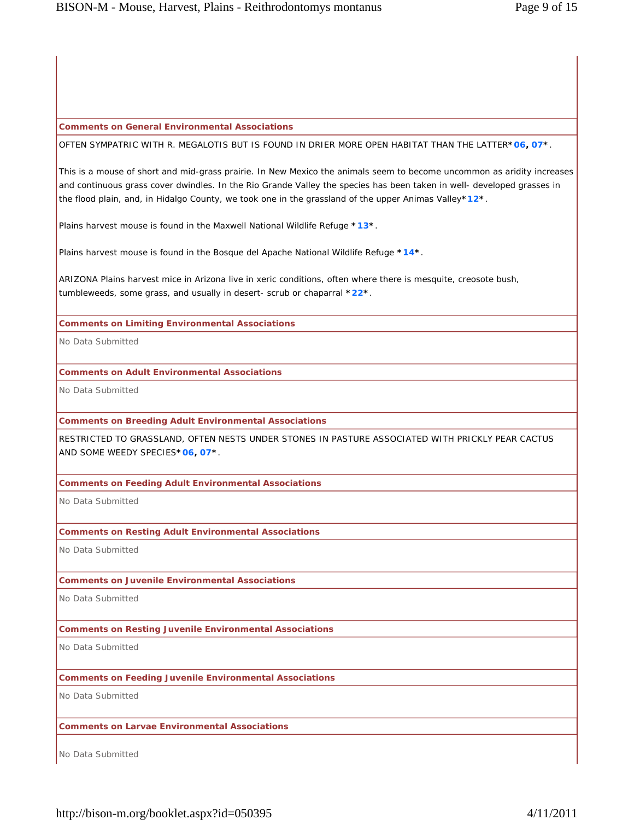### **Comments on General Environmental Associations**

OFTEN SYMPATRIC WITH R. MEGALOTIS BUT IS FOUND IN DRIER MORE OPEN HABITAT THAN THE LATTER**\*06, 07\***.

This is a mouse of short and mid-grass prairie. In New Mexico the animals seem to become uncommon as aridity increases and continuous grass cover dwindles. In the Rio Grande Valley the species has been taken in well- developed grasses in the flood plain, and, in Hidalgo County, we took one in the grassland of the upper Animas Valley**\*12\***.

Plains harvest mouse is found in the Maxwell National Wildlife Refuge **\*13\***.

Plains harvest mouse is found in the Bosque del Apache National Wildlife Refuge **\*14\***.

ARIZONA Plains harvest mice in Arizona live in xeric conditions, often where there is mesquite, creosote bush, tumbleweeds, some grass, and usually in desert- scrub or chaparral **\*22\***.

**Comments on Limiting Environmental Associations**

No Data Submitted

**Comments on Adult Environmental Associations**

No Data Submitted

**Comments on Breeding Adult Environmental Associations**

RESTRICTED TO GRASSLAND, OFTEN NESTS UNDER STONES IN PASTURE ASSOCIATED WITH PRICKLY PEAR CACTUS AND SOME WEEDY SPECIES**\*06, 07\***.

**Comments on Feeding Adult Environmental Associations**

No Data Submitted

**Comments on Resting Adult Environmental Associations**

No Data Submitted

# **Comments on Juvenile Environmental Associations**

No Data Submitted

# **Comments on Resting Juvenile Environmental Associations**

No Data Submitted

# **Comments on Feeding Juvenile Environmental Associations**

No Data Submitted

**Comments on Larvae Environmental Associations**

No Data Submitted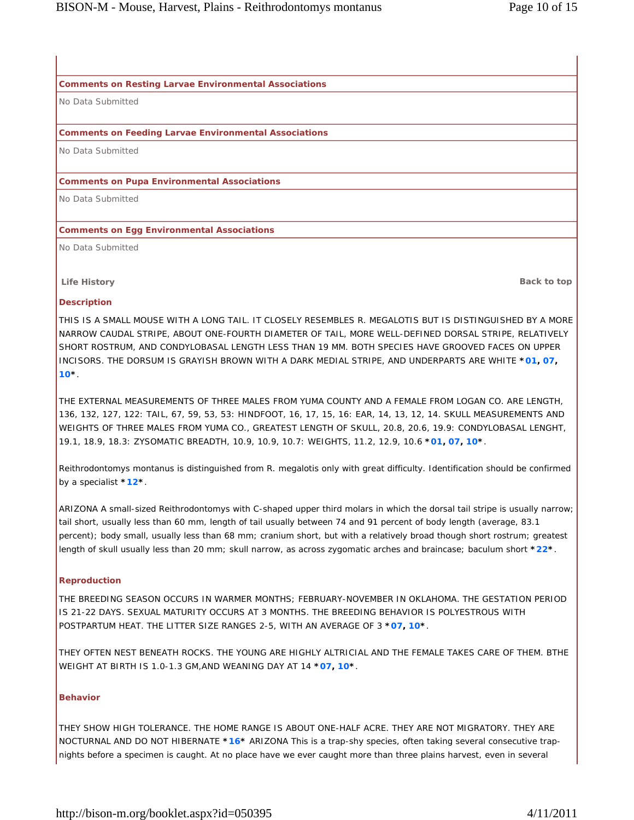#### **Comments on Resting Larvae Environmental Associations**

No Data Submitted

### **Comments on Feeding Larvae Environmental Associations**

No Data Submitted

#### **Comments on Pupa Environmental Associations**

No Data Submitted

#### **Comments on Egg Environmental Associations**

No Data Submitted

**Life History Back to top**

#### **Description**

THIS IS A SMALL MOUSE WITH A LONG TAIL. IT CLOSELY RESEMBLES R. MEGALOTIS BUT IS DISTINGUISHED BY A MORE NARROW CAUDAL STRIPE, ABOUT ONE-FOURTH DIAMETER OF TAIL, MORE WELL-DEFINED DORSAL STRIPE, RELATIVELY SHORT ROSTRUM, AND CONDYLOBASAL LENGTH LESS THAN 19 MM. BOTH SPECIES HAVE GROOVED FACES ON UPPER INCISORS. THE DORSUM IS GRAYISH BROWN WITH A DARK MEDIAL STRIPE, AND UNDERPARTS ARE WHITE **\*01, 07, 10\***.

THE EXTERNAL MEASUREMENTS OF THREE MALES FROM YUMA COUNTY AND A FEMALE FROM LOGAN CO. ARE LENGTH, 136, 132, 127, 122: TAIL, 67, 59, 53, 53: HINDFOOT, 16, 17, 15, 16: EAR, 14, 13, 12, 14. SKULL MEASUREMENTS AND WEIGHTS OF THREE MALES FROM YUMA CO., GREATEST LENGTH OF SKULL, 20.8, 20.6, 19.9: CONDYLOBASAL LENGHT, 19.1, 18.9, 18.3: ZYSOMATIC BREADTH, 10.9, 10.9, 10.7: WEIGHTS, 11.2, 12.9, 10.6 **\*01, 07, 10\***.

Reithrodontomys montanus is distinguished from R. megalotis only with great difficulty. Identification should be confirmed by a specialist **\*12\***.

ARIZONA A small-sized Reithrodontomys with C-shaped upper third molars in which the dorsal tail stripe is usually narrow; tail short, usually less than 60 mm, length of tail usually between 74 and 91 percent of body length (average, 83.1 percent); body small, usually less than 68 mm; cranium short, but with a relatively broad though short rostrum; greatest length of skull usually less than 20 mm; skull narrow, as across zygomatic arches and braincase; baculum short **\*22\***.

### **Reproduction**

THE BREEDING SEASON OCCURS IN WARMER MONTHS; FEBRUARY-NOVEMBER IN OKLAHOMA. THE GESTATION PERIOD IS 21-22 DAYS. SEXUAL MATURITY OCCURS AT 3 MONTHS. THE BREEDING BEHAVIOR IS POLYESTROUS WITH POSTPARTUM HEAT. THE LITTER SIZE RANGES 2-5, WITH AN AVERAGE OF 3 **\*07, 10\***.

THEY OFTEN NEST BENEATH ROCKS. THE YOUNG ARE HIGHLY ALTRICIAL AND THE FEMALE TAKES CARE OF THEM. BTHE WEIGHT AT BIRTH IS 1.0-1.3 GM,AND WEANING DAY AT 14 **\*07, 10\***.

#### **Behavior**

THEY SHOW HIGH TOLERANCE. THE HOME RANGE IS ABOUT ONE-HALF ACRE. THEY ARE NOT MIGRATORY. THEY ARE NOCTURNAL AND DO NOT HIBERNATE **\*16\*** ARIZONA This is a trap-shy species, often taking several consecutive trapnights before a specimen is caught. At no place have we ever caught more than three plains harvest, even in several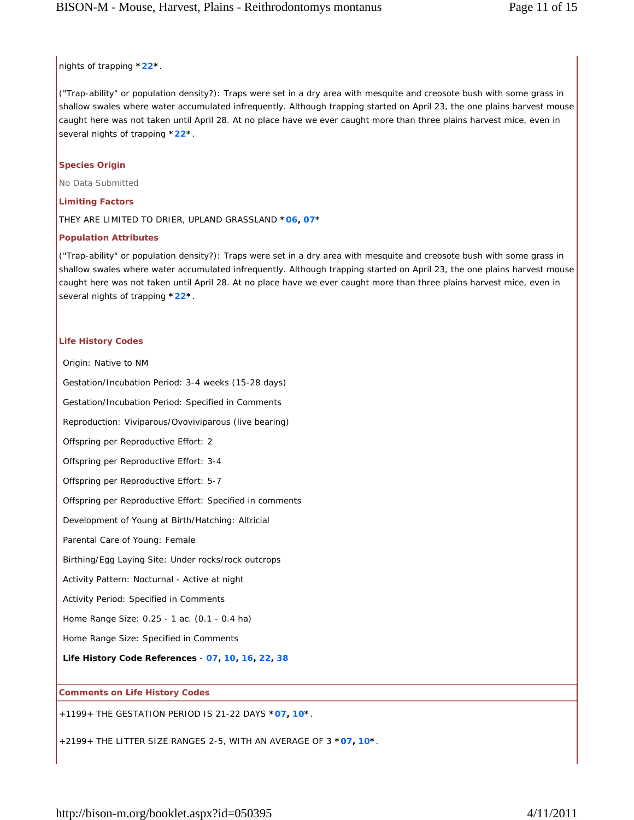### nights of trapping **\*22\***.

("Trap-ability" or population density?): Traps were set in a dry area with mesquite and creosote bush with some grass in shallow swales where water accumulated infrequently. Although trapping started on April 23, the one plains harvest mouse caught here was not taken until April 28. At no place have we ever caught more than three plains harvest mice, even in several nights of trapping **\*22\***.

## **Species Origin**

No Data Submitted

### **Limiting Factors**

THEY ARE LIMITED TO DRIER, UPLAND GRASSLAND **\*06, 07\***

# **Population Attributes**

("Trap-ability" or population density?): Traps were set in a dry area with mesquite and creosote bush with some grass in shallow swales where water accumulated infrequently. Although trapping started on April 23, the one plains harvest mouse caught here was not taken until April 28. At no place have we ever caught more than three plains harvest mice, even in several nights of trapping **\*22\***.

### **Life History Codes**

Origin: Native to NM Gestation/Incubation Period: 3-4 weeks (15-28 days) Gestation/Incubation Period: Specified in Comments Reproduction: Viviparous/Ovoviviparous (live bearing) Offspring per Reproductive Effort: 2 Offspring per Reproductive Effort: 3-4 Offspring per Reproductive Effort: 5-7 Offspring per Reproductive Effort: Specified in comments Development of Young at Birth/Hatching: Altricial Parental Care of Young: Female Birthing/Egg Laying Site: Under rocks/rock outcrops Activity Pattern: Nocturnal - Active at night Activity Period: Specified in Comments Home Range Size: 0.25 - 1 ac. (0.1 - 0.4 ha) Home Range Size: Specified in Comments **Life History Code References** - **07, 10, 16, 22, 38 Comments on Life History Codes**

+1199+ THE GESTATION PERIOD IS 21-22 DAYS **\*07, 10\***.

+2199+ THE LITTER SIZE RANGES 2-5, WITH AN AVERAGE OF 3 **\*07, 10\***.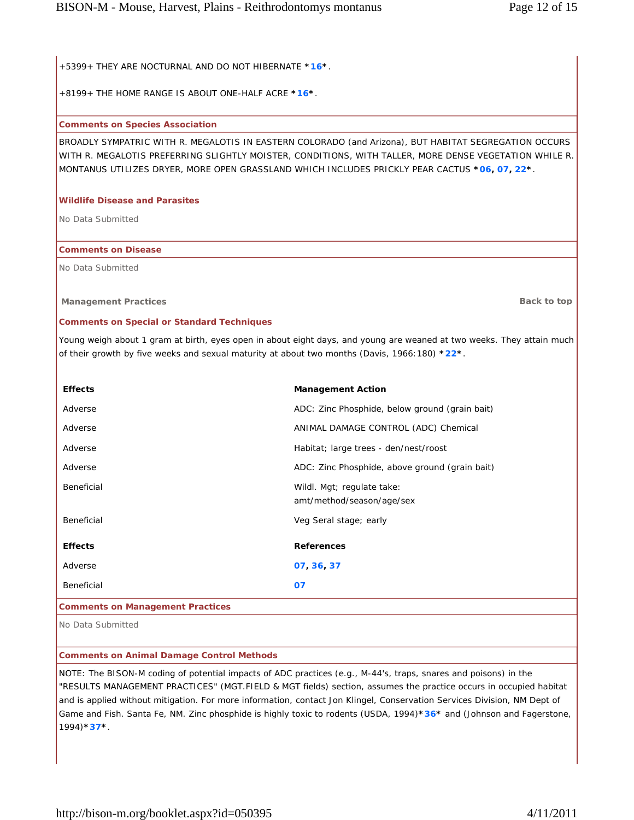+5399+ THEY ARE NOCTURNAL AND DO NOT HIBERNATE **\*16\***.

+8199+ THE HOME RANGE IS ABOUT ONE-HALF ACRE **\*16\***.

# **Comments on Species Association**

BROADLY SYMPATRIC WITH R. MEGALOTIS IN EASTERN COLORADO (and Arizona), BUT HABITAT SEGREGATION OCCURS WITH R. MEGALOTIS PREFERRING SLIGHTLY MOISTER, CONDITIONS, WITH TALLER, MORE DENSE VEGETATION WHILE R. MONTANUS UTILIZES DRYER, MORE OPEN GRASSLAND WHICH INCLUDES PRICKLY PEAR CACTUS **\*06, 07, 22\***.

# **Wildlife Disease and Parasites**

No Data Submitted

# **Comments on Disease**

No Data Submitted

**Management Practices Back to top Back to top Back to top Back to top Back to top** 

# **Comments on Special or Standard Techniques**

Young weigh about 1 gram at birth, eyes open in about eight days, and young are weaned at two weeks. They attain much of their growth by five weeks and sexual maturity at about two months (Davis, 1966:180) **\*22\***.

| <b>Effects</b>                          | <b>Management Action</b>                                |  |
|-----------------------------------------|---------------------------------------------------------|--|
| Adverse                                 | ADC: Zinc Phosphide, below ground (grain bait)          |  |
| Adverse                                 | ANIMAL DAMAGE CONTROL (ADC) Chemical                    |  |
| Adverse                                 | Habitat; large trees - den/nest/roost                   |  |
| Adverse                                 | ADC: Zinc Phosphide, above ground (grain bait)          |  |
| Beneficial                              | Wildl. Mgt; regulate take:<br>amt/method/season/age/sex |  |
| Beneficial                              | Veg Seral stage; early                                  |  |
| <b>Effects</b>                          | <b>References</b>                                       |  |
| Adverse                                 | 07 36 37                                                |  |
| Beneficial                              | 07                                                      |  |
| <b>Comments on Management Practices</b> |                                                         |  |

No Data Submitted

# **Comments on Animal Damage Control Methods**

NOTE: The BISON-M coding of potential impacts of ADC practices (e.g., M-44's, traps, snares and poisons) in the "RESULTS MANAGEMENT PRACTICES" (MGT.FIELD & MGT fields) section, assumes the practice occurs in occupied habitat and is applied without mitigation. For more information, contact Jon Klingel, Conservation Services Division, NM Dept of Game and Fish. Santa Fe, NM. Zinc phosphide is highly toxic to rodents (USDA, 1994)**\*36\*** and (Johnson and Fagerstone, 1994)**\*37\***.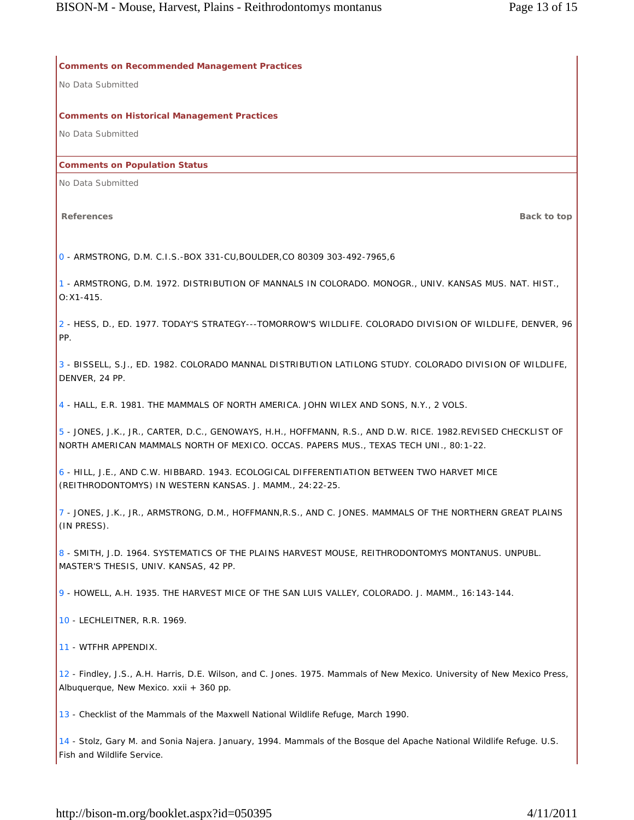**Comments on Recommended Management Practices**

No Data Submitted

**Comments on Historical Management Practices** 

No Data Submitted

#### **Comments on Population Status**

No Data Submitted

**References Back to top**

0 - ARMSTRONG, D.M. C.I.S.-BOX 331-CU,BOULDER,CO 80309 303-492-7965,6

1 - ARMSTRONG, D.M. 1972. DISTRIBUTION OF MANNALS IN COLORADO. MONOGR., UNIV. KANSAS MUS. NAT. HIST., O:X1-415.

2 - HESS, D., ED. 1977. TODAY'S STRATEGY---TOMORROW'S WILDLIFE. COLORADO DIVISION OF WILDLIFE, DENVER, 96 PP.

3 - BISSELL, S.J., ED. 1982. COLORADO MANNAL DISTRIBUTION LATILONG STUDY. COLORADO DIVISION OF WILDLIFE, DENVER, 24 PP.

4 - HALL, E.R. 1981. THE MAMMALS OF NORTH AMERICA. JOHN WILEX AND SONS, N.Y., 2 VOLS.

5 - JONES, J.K., JR., CARTER, D.C., GENOWAYS, H.H., HOFFMANN, R.S., AND D.W. RICE. 1982.REVISED CHECKLIST OF NORTH AMERICAN MAMMALS NORTH OF MEXICO. OCCAS. PAPERS MUS., TEXAS TECH UNI., 80:1-22.

6 - HILL, J.E., AND C.W. HIBBARD. 1943. ECOLOGICAL DIFFERENTIATION BETWEEN TWO HARVET MICE (REITHRODONTOMYS) IN WESTERN KANSAS. J. MAMM., 24:22-25.

7 - JONES, J.K., JR., ARMSTRONG, D.M., HOFFMANN,R.S., AND C. JONES. MAMMALS OF THE NORTHERN GREAT PLAINS (IN PRESS).

8 - SMITH, J.D. 1964. SYSTEMATICS OF THE PLAINS HARVEST MOUSE, REITHRODONTOMYS MONTANUS. UNPUBL. MASTER'S THESIS, UNIV. KANSAS, 42 PP.

9 - HOWELL, A.H. 1935. THE HARVEST MICE OF THE SAN LUIS VALLEY, COLORADO. J. MAMM., 16:143-144.

10 - LECHLEITNER, R.R. 1969.

11 - WTFHR APPENDIX.

12 - Findley, J.S., A.H. Harris, D.E. Wilson, and C. Jones. 1975. Mammals of New Mexico. University of New Mexico Press, Albuquerque, New Mexico. xxii + 360 pp.

13 - Checklist of the Mammals of the Maxwell National Wildlife Refuge, March 1990.

14 - Stolz, Gary M. and Sonia Najera. January, 1994. Mammals of the Bosque del Apache National Wildlife Refuge. U.S. Fish and Wildlife Service.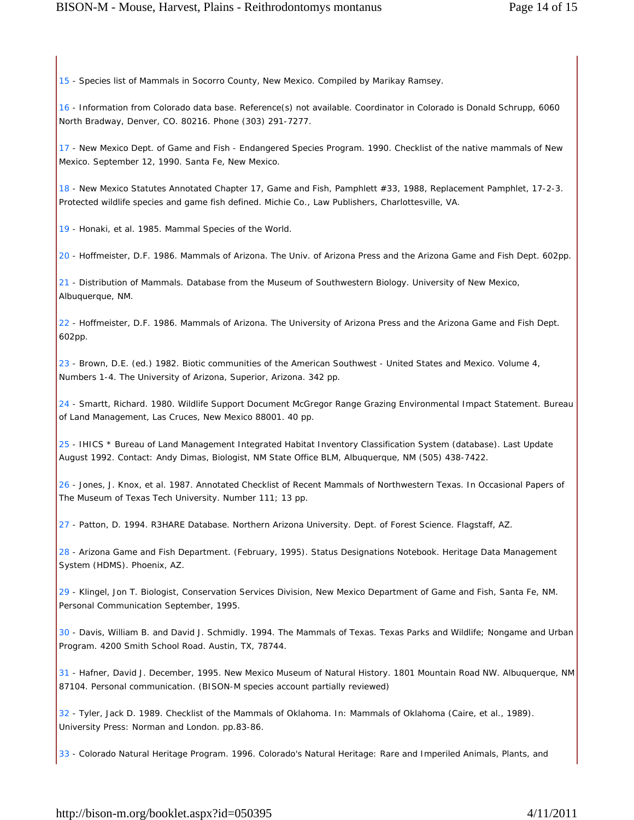15 - Species list of Mammals in Socorro County, New Mexico. Compiled by Marikay Ramsey.

16 - Information from Colorado data base. Reference(s) not available. Coordinator in Colorado is Donald Schrupp, 6060 North Bradway, Denver, CO. 80216. Phone (303) 291-7277.

17 - New Mexico Dept. of Game and Fish - Endangered Species Program. 1990. Checklist of the native mammals of New Mexico. September 12, 1990. Santa Fe, New Mexico.

18 - New Mexico Statutes Annotated Chapter 17, Game and Fish, Pamphlett #33, 1988, Replacement Pamphlet, 17-2-3. Protected wildlife species and game fish defined. Michie Co., Law Publishers, Charlottesville, VA.

19 - Honaki, et al. 1985. Mammal Species of the World.

20 - Hoffmeister, D.F. 1986. Mammals of Arizona. The Univ. of Arizona Press and the Arizona Game and Fish Dept. 602pp.

21 - Distribution of Mammals. Database from the Museum of Southwestern Biology. University of New Mexico, Albuquerque, NM.

22 - Hoffmeister, D.F. 1986. Mammals of Arizona. The University of Arizona Press and the Arizona Game and Fish Dept. 602pp.

23 - Brown, D.E. (ed.) 1982. Biotic communities of the American Southwest - United States and Mexico. Volume 4, Numbers 1-4. The University of Arizona, Superior, Arizona. 342 pp.

24 - Smartt, Richard. 1980. Wildlife Support Document McGregor Range Grazing Environmental Impact Statement. Bureau of Land Management, Las Cruces, New Mexico 88001. 40 pp.

25 - IHICS \* Bureau of Land Management Integrated Habitat Inventory Classification System (database). Last Update August 1992. Contact: Andy Dimas, Biologist, NM State Office BLM, Albuquerque, NM (505) 438-7422.

26 - Jones, J. Knox, et al. 1987. Annotated Checklist of Recent Mammals of Northwestern Texas. In Occasional Papers of The Museum of Texas Tech University. Number 111; 13 pp.

27 - Patton, D. 1994. R3HARE Database. Northern Arizona University. Dept. of Forest Science. Flagstaff, AZ.

28 - Arizona Game and Fish Department. (February, 1995). Status Designations Notebook. Heritage Data Management System (HDMS). Phoenix, AZ.

29 - Klingel, Jon T. Biologist, Conservation Services Division, New Mexico Department of Game and Fish, Santa Fe, NM. Personal Communication September, 1995.

30 - Davis, William B. and David J. Schmidly. 1994. The Mammals of Texas. Texas Parks and Wildlife; Nongame and Urban Program. 4200 Smith School Road. Austin, TX, 78744.

31 - Hafner, David J. December, 1995. New Mexico Museum of Natural History. 1801 Mountain Road NW. Albuquerque, NM 87104. Personal communication. (BISON-M species account partially reviewed)

32 - Tyler, Jack D. 1989. Checklist of the Mammals of Oklahoma. In: Mammals of Oklahoma (Caire, et al., 1989). University Press: Norman and London. pp.83-86.

33 - Colorado Natural Heritage Program. 1996. Colorado's Natural Heritage: Rare and Imperiled Animals, Plants, and